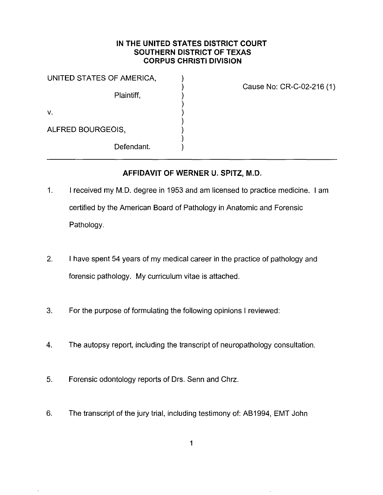# **IN THE UNITED STATES DISTRICT COURT SOUTHERN DISTRICT OF TEXAS CORPUS CHRISTI DIVISION**

) ) ) ) ) ) ) )

UNITED STATES OF AMERICA,  $\qquad \qquad$ )

Plaintiff,

v.

ALFRED BOURGEOIS,

Defendant.

Cause No: CR-C-02-216 (1)

# **AFFIDAVIT OF WERNER U. SPITZ, M.D.**

- 1. I received my M.D. degree in 1953 and am licensed to practice medicine. I am certified by the American Board of Pathology in Anatomic and Forensic Pathology.
- 2. I have spent 54 years of my medical career in the practice of pathology and forensic pathology. My curriculum vitae is attached.
- 3. For the purpose of formulating the following opinions I reviewed:
- 4. The autopsy report, including the transcript of neuropathology consultation.
- 5. Forensic odontology reports of Ors. Senn and Chrz.
- 6. The transcript of the jury trial, including testimony of: AB1994, EMT John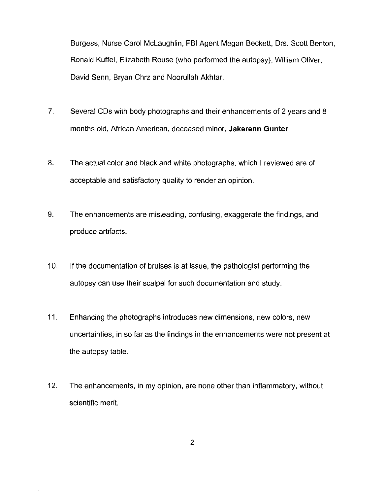Burgess, Nurse Carol Mclaughlin, FBI Agent Megan Beckett, Ors. Scott Benton, Ronald Kuffel, Elizabeth Rouse (who performed the autopsy), William Oliver, David Senn, Bryan Chrz and Noorullah Akhtar.

- 7. Several CDs with body photographs and their enhancements of 2 years and 8 months old, African American, deceased minor, **Jakerenn Gunter.**
- 8. The actual color and black and white photographs, which I reviewed are of acceptable and satisfactory quality to render an opinion.
- 9. The enhancements are misleading, confusing, exaggerate the findings, and produce artifacts.
- 10. If the documentation of bruises is at issue, the pathologist performing the autopsy can use their scalpel for such documentation and study.
- 11. Enhancing the photographs introduces new dimensions, new colors, new uncertainties, in so far as the findings in the enhancements were not present at the autopsy table.
- 12. The enhancements, in my opinion, are none other than inflammatory, without scientific merit.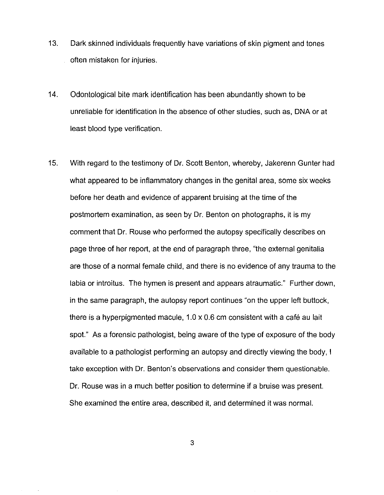- 13. Dark skinned individuals frequently have variations of skin pigment and tones often mistaken for injuries.
- 14. Odontological bite mark identification has been abundantly shown to be unreliable for identification in the absence of other studies, such as, DNA or at least blood type verification.
- 15. With regard to the testimony of Dr. Scott Benton, whereby, Jakerenn Gunter had what appeared to be inflammatory changes in the genital area, some six weeks before her death and evidence of apparent bruising at the time of the postmortem examination, as seen by Dr. Benton on photographs, it is my comment that Dr. Rouse who performed the autopsy specifically describes on page three of her report, at the end of paragraph three, "the external genitalia are those of a normal female child, and there is no evidence of any trauma to the labia or introitus. The hymen is present and appears atraumatic." Further down, in the same paragraph, the autopsy report continues "on the upper left buttock, there is a hyperpigmented macule, 1.0 x 0.6 cm consistent with a cafe au lait spot." As a forensic pathologist, being aware of the type of exposure of the body available to a pathologist performing an autopsy and directly viewing the body, I take exception with Dr. Benton's observations and consider them questionable. Dr. Rouse was in a much better position to determine if a bruise was present. She examined the entire area, described it, and determined it was normal.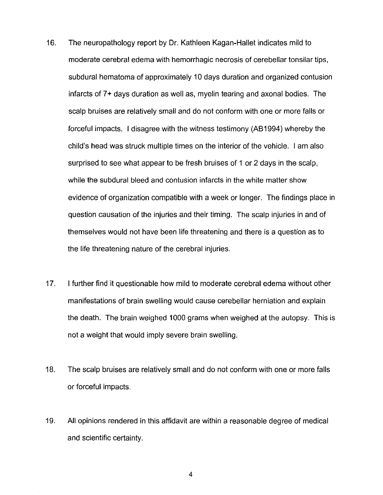- 16. The neuropathology report by Dr. Kathleen Kagan-Hallet indicates mild to moderate cerebral edema with hemorrhagic necrosis of cerebellar tonsilar tips, subdural hematoma of approximately 10 days duration and organized contusion infarcts of 7+ days duration as well as, myelin tearing and axonal bodies. The scalp bruises are relatively small and do not conform with one or more falls or forceful impacts. I disagree with the witness testimony (AB1994) whereby the child's head was struck multiple times on the interior of the vehicle. I am also surprised to see what appear to be fresh bruises of 1 or 2 days in the scalp, while the subdural bleed and contusion infarcts in the white matter show evidence of organization compatible with a week or longer. The findings place in question causation of the injuries and their timing. The scalp injuries in and of themselves would not have been life threatening and there is a question as to the life threatening nature of the cerebral injuries.
- 17. I further find it questionable how mild to moderate cerebral edema without other manifestations of brain swelling would cause cerebellar herniation and explain the death. The brain weighed 1000 grams when weighed at the autopsy. This is not a weight that would imply severe brain swelling.
- 18. The scalp bruises are relatively small and do not conform with one or more falls or forceful impacts.
- 19. All opinions rendered in this affidavit are within a reasonable degree of medical and scientific certainty.

4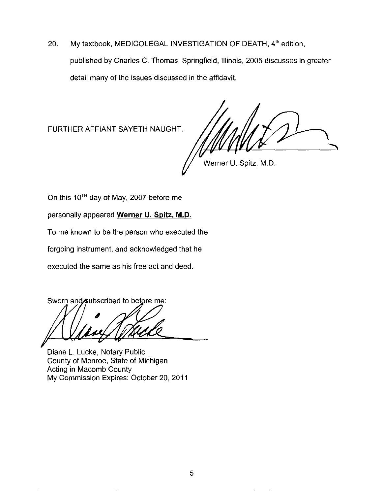20. My textbook, MEDICOLEGAL INVESTIGATION OF DEATH, 4<sup>th</sup> edition, published by Charles C. Thomas, Springfield, Illinois, 2005 discusses in greater detail many of the issues discussed in the affidavit.

FURTHER AFFIANT SAYETH NAUGHT.

Werner U. Spitz, M.D.

On this  $10^{TH}$  day of May, 2007 before me

personally appeared **Werner U. Spitz. M.D.** 

To me known to be the person who executed the

forgoing instrument, and acknowledged that he

executed the same as his free act and deed.

Sworn and subscribed to before me:

Diane L. Lucke, Notary Public County of Monroe, State of Michigan Acting in Macomb County My Commission Expires: October 20, 2011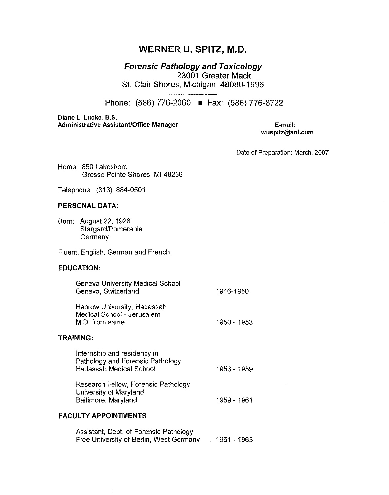# **WERNER U. SPITZ, M.D.**

Forensic Pathology and Toxicology 23001 Greater Mack St. Clair Shores, Michigan 48080-1996

Phone: (586) 776-2060 **•** Fax: (586) 776-8722

Diane L. Lucke, B.S. Administrative Assistant/Office Manager

E-mail: wuspitz@aol.com

Date of Preparation: March, 2007

Home: 850 Lakeshore Grosse Pointe Shores, Ml 48236

Telephone: (313) 884-0501

#### PERSONAL DATA:

Born: August 22, 1926 Stargard/Pomerania **Germany** 

Fluent: English, German and French

#### EDUCATION:

| Geneva University Medical School<br>Geneva, Switzerland                     | 1946-1950   |
|-----------------------------------------------------------------------------|-------------|
| Hebrew University, Hadassah<br>Medical School - Jerusalem<br>M.D. from same | 1950 - 1953 |

## TRAINING:

| Internship and residency in<br>Pathology and Forensic Pathology<br><b>Hadassah Medical School</b> | 1953 - 1959 |
|---------------------------------------------------------------------------------------------------|-------------|
| Research Fellow, Forensic Pathology                                                               |             |

University of Maryland Baltimore, Maryland

1959-1961

#### FACULTY APPOINTMENTS:

l,

| Assistant, Dept. of Forensic Pathology  |             |
|-----------------------------------------|-------------|
| Free University of Berlin, West Germany | 1961 - 1963 |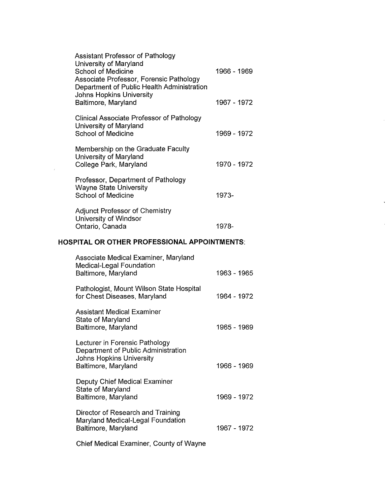|                                              | <b>Assistant Professor of Pathology</b><br>University of Maryland<br><b>School of Medicine</b><br>Associate Professor, Forensic Pathology<br>Department of Public Health Administration | 1966 - 1969 |
|----------------------------------------------|-----------------------------------------------------------------------------------------------------------------------------------------------------------------------------------------|-------------|
|                                              | Johns Hopkins University<br>Baltimore, Maryland                                                                                                                                         | 1967 - 1972 |
|                                              | <b>Clinical Associate Professor of Pathology</b><br>University of Maryland<br><b>School of Medicine</b>                                                                                 | 1969 - 1972 |
|                                              | Membership on the Graduate Faculty<br>University of Maryland<br>College Park, Maryland                                                                                                  | 1970 - 1972 |
|                                              | Professor, Department of Pathology<br><b>Wayne State University</b><br><b>School of Medicine</b>                                                                                        | $1973-$     |
|                                              | <b>Adjunct Professor of Chemistry</b><br>University of Windsor<br>Ontario, Canada                                                                                                       | 1978-       |
| HOSPITAL OR OTHER PROFESSIONAL APPOINTMENTS: |                                                                                                                                                                                         |             |
|                                              |                                                                                                                                                                                         |             |
|                                              | Associate Medical Examiner, Maryland<br><b>Medical-Legal Foundation</b><br>Baltimore, Maryland                                                                                          | 1963 - 1965 |
|                                              | Pathologist, Mount Wilson State Hospital<br>for Chest Diseases, Maryland                                                                                                                | 1964 - 1972 |
|                                              | <b>Assistant Medical Examiner</b><br>State of Maryland<br>Baltimore, Maryland                                                                                                           | 1965 - 1969 |
|                                              | Lecturer in Forensic Pathology<br>Department of Public Administration<br><b>Johns Hopkins University</b><br>Baltimore, Maryland                                                         | 1966 - 1969 |
|                                              | <b>Deputy Chief Medical Examiner</b><br>State of Maryland<br>Baltimore, Maryland                                                                                                        | 1969 - 1972 |
|                                              | Director of Research and Training<br>Maryland Medical-Legal Foundation<br>Baltimore, Maryland                                                                                           | 1967 - 1972 |

 $\mathcal{L}^{\text{max}}_{\text{max}}$ 

 $\mathcal{L}_{\mathcal{L}}$ 

 $\bar{\psi}$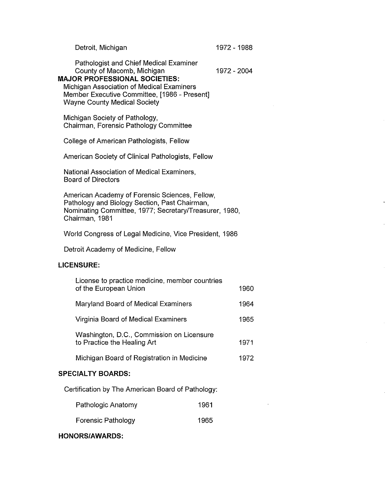| Detroit, Michigan | 1972 - 1988 |
|-------------------|-------------|
|-------------------|-------------|

Pathologist and Chief Medical Examiner County of Macomb, Michigan 1972 - 2004

#### **MAJOR PROFESSIONAL SOCIETIES:**

Michigan Association of Medical Examiners Member Executive Committee, [1986 - Present] Wayne County Medical Society

Michigan Society of Pathology, Chairman, Forensic Pathology Committee

College of American Pathologists, Fellow

American Society of Clinical Pathologists, Fellow

National Association of Medical Examiners, Board of Directors

American Academy of Forensic Sciences, Fellow, Pathology and Biology Section, Past Chairman, Nominating Committee, 1977; Secretary/Treasurer, 1980, Chairman, 1981

World Congress of Legal Medicine, Vice President, 1986

Detroit Academy of Medicine, Fellow

# **LICENSURE:**

| License to practice medicine, member countries<br>of the European Union  | 1960 |
|--------------------------------------------------------------------------|------|
| Maryland Board of Medical Examiners                                      | 1964 |
| Virginia Board of Medical Examiners                                      | 1965 |
| Washington, D.C., Commission on Licensure<br>to Practice the Healing Art | 1971 |
| Michigan Board of Registration in Medicine                               | 1972 |

## **SPECIAL TY BOARDS:**

Certification by The American Board of Pathology:

| Pathologic Anatomy        | 1961 |
|---------------------------|------|
| <b>Forensic Pathology</b> | 1965 |

## **HONORS/AWARDS:**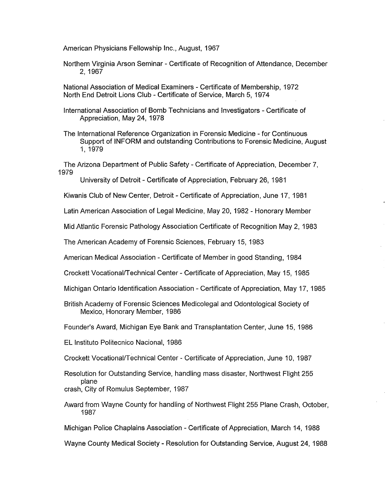American Physicians Fellowship Inc., August, 1967

Northern Virginia Arson Seminar - Certificate of Recognition of Attendance, December 2, 1967

National Association of Medical Examiners - Certificate of Membership, 1972 North End Detroit Lions Club - Certificate of Service, March 5, 1974

International Association of Bomb Technicians and Investigators - Certificate of Appreciation, May 24, 1978

The International Reference Organization in Forensic Medicine - for Continuous Support of INFORM and outstanding Contributions to Forensic Medicine, August 1, 1979

The Arizona Department of Public Safety - Certificate of Appreciation, December 7, 1979

University of Detroit - Certificate of Appreciation, February 26, 1981

Kiwanis Club of New Center, Detroit- Certificate of Appreciation, June 17, 1981

Latin American Association of Legal Medicine, May 20, 1982 - Honorary Member

Mid Atlantic Forensic Pathology Association Certificate of Recognition May 2, 1983

The American Academy of Forensic Sciences, February 15, 1983

American Medical Association - Certificate of Member in good Standing, 1984

Crockett Vocational/Technical Center- Certificate of Appreciation, May 15, 1985

Michigan Ontario Identification Association - Certificate of Appreciation, May 17, 1985

British Academy of Forensic Sciences Medicolegal and Odontological Society of Mexico, Honorary Member, 1986

Founder's Award, Michigan Eye Bank and Transplantation Center, June 15, 1986

EL lnstituto Politecnico Nacional, 1986

Crockett Vocational/Technical Center- Certificate of Appreciation, June 10, 1987

Resolution for Outstanding Service, handling mass disaster, Northwest Flight 255 plane crash, City of Romulus September, 1987

Award from Wayne County for handling of Northwest Flight 255 Plane Crash, October, 1987

Michigan Police Chaplains Association - Certificate of Appreciation, March 14, 1988

Wayne County Medical Society - Resolution for Outstanding Service, August 24, 1988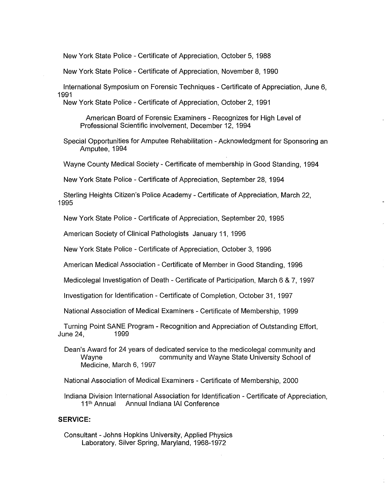New York State Police - Certificate of Appreciation, October 5, 1988

New York State Police - Certificate of Appreciation, November 8, 1990

International Symposium on Forensic Techniques - Certificate of Appreciation, June 6, 1991

New York State Police - Certificate of Appreciation, October 2, 1991

American Board of Forensic Examiners - Recognizes for High Level of Professional Scientific involvement, December 12, 1994

Special Opportunities for Amputee Rehabilitation - Acknowledgment for Sponsoring an Amputee, 1994

Wayne County Medical Society - Certificate of membership in Good Standing, 1994

New York State Police - Certificate of Appreciation, September 28, 1994

Sterling Heights Citizen's Police Academy - Certificate of Appreciation, March 22, 1995

New York State Police - Certificate of Appreciation, September 20, 1995

American Society of Clinical Pathologists January 11, 1996

New York State Police - Certificate of Appreciation, October 3, 1996

American Medical Association - Certificate of Member in Good Standing, 1996

Medicolegal Investigation of Death - Certificate of Participation, March 6 & 7, 1997

Investigation for Identification - Certificate of Completion, October 31, 1997

National Association of Medical Examiners - Certificate of Membership, 1999

Turning Point SANE Program - Recognition and Appreciation of Outstanding Effort, June 24, 1999

Dean's Award for 24 years of dedicated service to the medicolegal community and Wayne community and Wayne State University School of Medicine, March 6, 1997

National Association of Medical Examiners - Certificate of Membership, 2000

Indiana Division International Association for Identification - Certificate of Appreciation, 11<sup>th</sup> Annual Annual Indiana IAI Conference

#### **SERVICE:**

Consultant - Johns Hopkins University, Applied Physics Laboratory, Silver Spring, Maryland, 1968-1972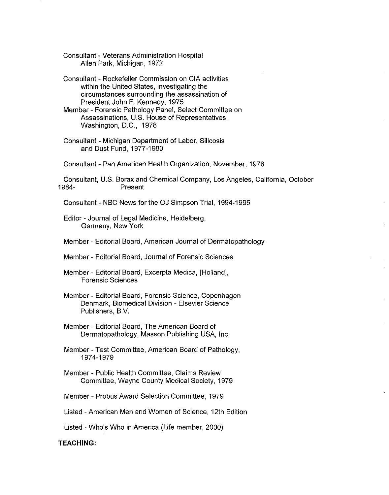Consultant - Veterans Administration Hospital Allen Park, Michigan, 1972

Consultant - Rockefeller Commission on CIA activities within the United States, investigating the circumstances surrounding the assassination of President John F. Kennedy, 1975

Member - Forensic Pathology Panel, Select Committee on Assassinations, U.S. House of Representatives, Washington, D.C., 1978

Consultant - Michigan Department of Labor, Silicosis and Dust Fund, 1977-1980

Consultant - Pan American Health Organization, November, 1978

Consultant, U.S. Borax and Chemical Company, Los Angeles, California, October 1984- Present

Consultant - NBC News for the OJ Simpson Trial, 1994-1995

Editor - Journal of Legal Medicine, Heidelberg, Germany, New York

Member - Editorial Board, American Journal of Dermatopathology

Member - Editorial Board, Journal of Forensic Sciences

Member - Editorial Board, Excerpta Medica, [Holland], Forensic Sciences

Member - Editorial Board, Forensic Science, Copenhagen Denmark, Biomedical Division - Elsevier Science Publishers, B.V.

Member - Editorial Board, The American Board of Dermatopathology, Masson Publishing USA, Inc.

Member - Test Committee, American Board of Pathology, 1974-1979

Member - Public Health Committee, Claims Review Committee, Wayne County Medical Society, 1979

Member - Probus Award Selection Committee, 1979

Listed -American Men and Women of Science, 12th Edition

Listed - Who's Who in America (Life member, 2000)

**TEACHING:**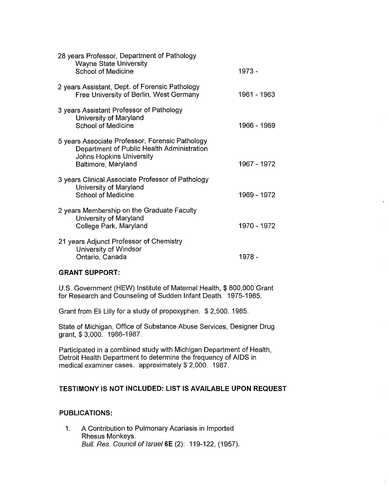| 28 years Professor, Department of Pathology<br><b>Wayne State University</b><br><b>School of Medicine</b>                                               | $1973 -$     |
|---------------------------------------------------------------------------------------------------------------------------------------------------------|--------------|
| 2 years Assistant, Dept. of Forensic Pathology<br>Free University of Berlin, West Germany                                                               | 1961 - 1963  |
| 3 years Assistant Professor of Pathology<br>University of Maryland<br><b>School of Medicine</b>                                                         | 1966 - 1969  |
| 5 years Associate Professor, Forensic Pathology<br>Department of Public Health Administration<br><b>Johns Hopkins University</b><br>Baltimore, Maryland | 1967 - 1972  |
| 3 years Clinical Associate Professor of Pathology<br>University of Maryland<br><b>School of Medicine</b>                                                | 1969 - 1972. |
| 2 years Membership on the Graduate Faculty<br>University of Maryland<br>College Park, Maryland                                                          | 1970 - 1972  |
| 21 years Adjunct Professor of Chemistry<br>University of Windsor<br>Ontario, Canada                                                                     | 1978 -       |

## **GRANT SUPPORT:**

U.S. Government (HEW) Institute of Maternal Health, \$ 800,000 Grant for Research and Counseling of Sudden Infant Death. 1975-1985.

Grant from Eli Lilly for a study of propoxyphen. \$ 2,500. 1985.

State of Michigan, Office of Substance Abuse Services, Designer Drug grant,\$ 3,000. 1986-1987.

Participated in a combined study with Michigan Department of Health, Detroit Health Department to determine the frequency of AIDS in medical examiner cases. approximately \$ 2,000. 1987.

# **TESTIMONY IS NOT INCLUDED: LIST IS AVAILABLE UPON REQUEST**

## **PUBLICATIONS:**

1. A Contribution to Pulmonary Acariasis in Imported Rhesus Monkeys. Bull. Res. Council of Israel 6E (2): 119-122, (1957).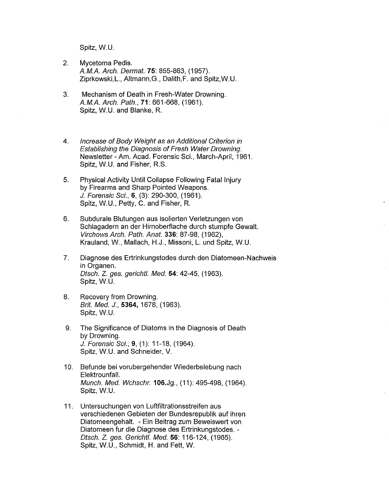Spitz, W.U.

- 2. Mycetoma Pedis. A.M.A. Arch. Dermal. **75:** 855-863, (1957). Ziprkowski,L., Altmann,G., Dalith,F. and Spitz,W.U.
- 3. Mechanism of Death in Fresh-Water Drowning. A.M.A. Arch. Path., **71:** 661-668, (1961). Spitz, W.U. and Blanke, R.
- 4. Increase of Body Weight as an Additional Criterion in Establishing the Diagnosis of Fresh Water Drowning. Newsletter -Am. Acad. Forensic Sci., March-April, 1961. Spitz, W.U. and Fisher, R.S.
- 5. Physical Activity Until Collapse Following Fatal Injury by Firearms and Sharp Pointed Weapons. *J.* Forensic Sci., **6,** (3): 290-300, (1961 ). Spitz, W.U., Petty, C. and Fisher, R.
- 6. Subdurale Blutungen aus isolierten Verletzungen von Schlagadern an der Hirnoberflache durch stumpfe Gewalt. Virchows Arch. Path. Anal. **336:** 87-98, (1962), Krauland, W., Mallach, H.J., Missoni, L. und Spitz, W.U.
- 7. Diagnose des Ertrinkungstodes durch den Diatomeen-Nachweis in Organen. Disch. Z. ges. gerichtl. Med. **54:** 42-45, (1963). Spitz, W.U.
- 8. Recovery from Drowning. Brit. Med. J., **5364,** 1678, (1963). Spitz, W.U.
- 9. The Significance of Diatoms in the Diagnosis of Death by Drowning. *J.* Forensic Sci., **9,** (1): 11-18, (1964). Spitz, W.U. and Schneider, V.
- 10. Befunde bei vorubergehender Wiederbelebung nach Elektrounfall. Munch. Med. Wchschr.106.Jg., (11): 495-498, (1964). Spitz, W.U.
- 11. Untersuchungen von Luftfiltrationsstreifen aus verschiedenen Gebieten der Bundesrepublik auf ihren Diatomeengehalt. - Ein Beitrag zum Beweiswert von Diatomeen fur die Diagnose des Ertrinkungstodes. - Disch. Z. ges. Gerichtl. Med. **56:** 116-124, (1965). Spitz, W.U., Schmidt, H. and Fett, W.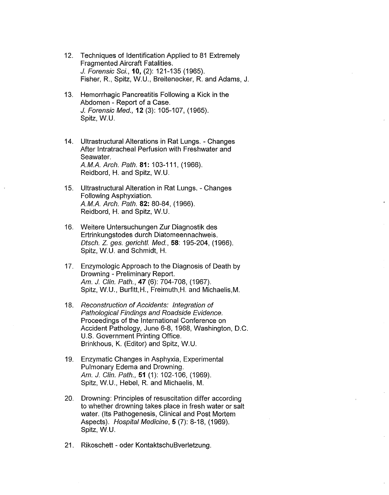- 12. Techniques of Identification Applied to 81 Extremely Fragmented Aircraft Fatalities. J. Forensic Sci., 10, (2): 121-135 (1965). Fisher, R., Spitz, W.U., Breitenecker, R. and Adams, J.
- 13. Hemorrhagic Pancreatitis Following a Kick in the Abdomen - Report of a Case. J. Forensic Med., 12 (3): 105-107, (1965). Spitz, W.U.
- 14. Ultrastructural Alterations in Rat Lungs. Changes After lntratracheal Perfusion with Freshwater and Seawater. *A.MA.* Arch. Path. 81: 103-111, (1966). Reidbord, H. and Spitz, W.U.
- 15. Ultrastructural Alteration in Rat Lungs. Changes Following Asphyxiation. *A.MA.* Arch. Path. 82: 80-84, (1966). Reidbord, H. and Spitz, W.U.
- 16. Weitere Untersuchungen Zur Diagnostik des Ertrinkungstodes durch Diatomeennachweis. Disch. Z. ges. gerichtl. Med., 58: 195-204, (1966). Spitz, W.U. and Schmidt, H.
- 17. Enzymologic Approach to the Diagnosis of Death by Drowning - Preliminary Report. Am. J. Clin. Path., **47** (6): 704-708, (1967). Spitz, W.U., Burfitt,H., Freimuth,H. and Michaelis,M.
- 18. Reconstruction of Accidents: Integration of Pathological Findings and Roadside Evidence. Proceedings of the International Conference on Accident Pathology, June 6-8, 1968, Washington, D.C. U.S. Government Printing Office. Brinkhous, K. (Editor) and Spitz, W.U.
- 19. Enzymatic Changes in Asphyxia, Experimental Pulmonary Edema and Drowning. Am. J. Clin. Path., 51 (1): 102-106, (1969). Spitz, W.U., Hebel, R. and Michaelis, M.
- 20. Drowning: Principles of resuscitation differ according to whether drowning takes place in fresh water or salt water. (Its Pathogenesis, Clinical and Post Mortem Aspects). Hospital Medicine, 5 (7): 8-18, (1969). Spitz, W.U.
- 21. Rikoschett oder KontaktschuBverletzung.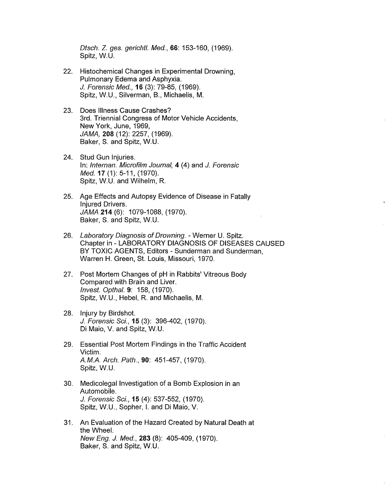Disch. Z. ges. gerichtl. Med., 66: 153-160, (1969). Spitz, W.U.

- 22. Histochemical Changes in Experimental Drowning, Pulmonary Edema and Asphyxia. J. Forensic Med., **16** (3): 79-85, (1969). Spitz, W.U., Silverman, B., Michaelis, M.
- 23. Does Illness Cause Crashes? 3rd. Triennial Congress of Motor Vehicle Accidents, New York, June, 1969, JAMA, **208** (12): 2257, (1969). Baker, S. and Spitz, W.U.
- 24. Stud Gun Injuries. In: lnternan. Microfilm Journal, **4** (4) and J. Forensic Med.17 (1): 5-11, (1970). Spitz, W.U. and Wilhelm, R.
- 25. Age Effects and Autopsy Evidence of Disease in Fatally Injured Drivers. JAMA **214** (6): 1079-1088, (1970). Baker, S. and Spitz, W.U.
- 26. Laboratory Diagnosis of Drowning. Werner U. Spitz. Chapter in - LABORATORY DIAGNOSIS OF DISEASES CAUSED BY TOXIC AGENTS, Editors - Sunderman and Sunderman, Warren H. Green, St. Louis, Missouri, 1970.
- 27. Post Mortem Changes of pH in Rabbits' Vitreous Body Compared with Brain and Liver. Invest. Opthal. **9:** 158, (1970). Spitz, W.U., Hebel, R. and Michaelis, M.
- 28. Injury by Birdshot. J. Forensic Sci., **15** (3): 396-402, (1970). Di Maio, V. and Spitz, W.U.
- 29. Essential Post Mortem Findings in the Traffic Accident Victim. A.M.A. Arch. Path., **90:** 451-457, (1970). Spitz, W.U.
- 30. Medicolegal Investigation of a Bomb Explosion in an Automobile. J. Forensic Sci., **15** (4): 537-552, (1970). Spitz, W.U., Sopher, I. and Di Maio, V.
- 31. An Evaluation of the Hazard Created by Natural Death at the Wheel. New Eng. J. Med., **283** (8): 405-409, (1970). Baker, S. and Spitz, W.U.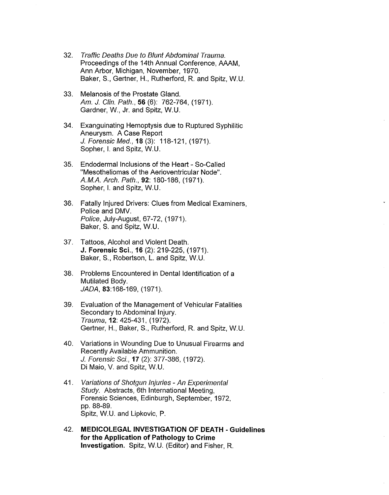- 32. Traffic Deaths Due to Blunt Abdominal Trauma. Proceedings of the 14th Annual Conference, AAAM, Ann Arbor, Michigan, November, 1970. Baker, S., Gertner, H., Rutherford, R. and Spitz, W.U.
- 33. Melanosis of the Prostate Gland. Am. J. Clin. Path., **56** (6): 762-764, (1971). Gardner, W., Jr. and Spitz, W.U.
- 34. Exanguinating Hemoptysis due to Ruptured Syphilitic Aneurysm. A Case Report J. Forensic Med., 18 (3): 118-121, (1971). Sopher, L and Spitz, W.U.
- 35. Endodermal Inclusions of the Heart So-Called "Mesotheliomas of the Aerioventricular Node". AM.A Arch. Path., **92:** 180-186, (1971). Sopher, Land Spitz, W.U.
- 36. Fatally Injured Drivers: Clues from Medical Examiners, Police and OMV. Police, July-August, 67-72, (1971). Baker, S. and Spitz, W.U.
- 37. Tattoos, Alcohol and Violent Death. **J. Forensic Sci., 16** (2): 219-225, (1971). Baker, S., Robertson, L. and Spitz, W.U.
- 38. Problems Encountered in Dental Identification of a Mutilated Body. JADA, 83:168-169, (1971).
- 39. Evaluation of the Management of Vehicular Fatalities Secondary to Abdominal Injury. Trauma, **12:** 425-431, (1972). Gertner, H., Baker, S., Rutherford, R and Spitz, W.U.
- 40. Variations in Wounding Due to Unusual Firearms and Recently Available Ammunition. J. Forensic Sci., **17** (2): 377-386, (1972). Di Maio, V. and Spitz, W.U.
- 41. Variations of Shotqun Injuries An Experimental Study. Abstracts, 6th International Meeting, Forensic Sciences, Edinburgh, September, 1972, pp, 88-89. Spitz, W.U. and Lipkovic, P.
- 42. **MEDICOLEGAL INVESTIGATION OF DEATH - Guidelines for the Application of Pathology to Crime Investigation.** Spitz, W.U. (Editor) and Fisher, R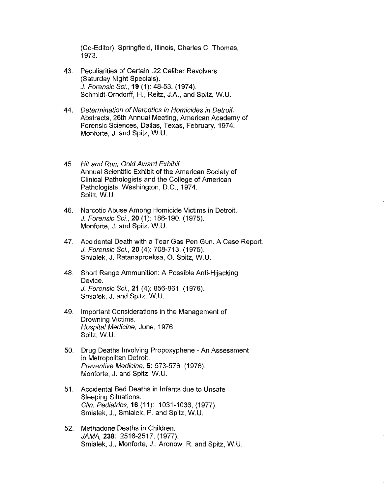(Co-Editor). Springfield, Illinois, Charles C. Thomas, 1973.

- 43. Peculiarities of Certain .22 Caliber Revolvers (Saturday Night Specials). J. Forensic Sci., **19** (1): 48-53, (1974). Schmidt-Orndorff, H., Reitz, J.A., and Spitz, W.U.
- 44. Determination of Narcotics in Homicides in Detroit. Abstracts, 26th Annual Meeting, American Academy of Forensic Sciences, Dallas, Texas, February, 1974. Monforte, J. and Spitz, W.U.
- 45. Hit and Run, Gold Award Exhibit. Annual Scientific Exhibit of the American Society of Clinical Pathologists and the College of American Pathologists, Washington, D.C., 1974. Spitz, W.U.
- 46. Narcotic Abuse Among Homicide Victims in Detroit. J. Forensic Sci., **20** (1): 186-190, (1975). Monforte, J. and Spitz, W.U.
- 47. Accidental Death with a Tear Gas Pen Gun. A Case Report. *J.* Forensic Sci., **20** (4): 708-713, (1975). Smialek, J. Ratanaproeksa, 0. Spitz, W.U.
- 48. Short Range Ammunition: A Possible Anti-Hijacking Device. J. Forensic Sci., 21 (4): 856-861, (1976). Smialek, J. and Spitz, W.U.
- 49. Important Considerations in the Management of Drowning Victims. Hospital Medicine, June, 1976. Spitz, W.U.
- 50. Drug Deaths Involving Propoxyphene An Assessment in Metropolitan Detroit. Preventive Medicine, 5: 573-576, (1976). Monforte, J. and Spitz, W.U.
- 51. Accidental Bed Deaths in Infants due to Unsafe Sleeping Situations. Clin. Pediatrics, **16** (11): 1031-1036, (1977). Smialek, J., Smialek, P. and Spitz, W.U.
- 52. Methadone Deaths in Children. JAMA, **238:** 2516-2517, (1977). Smialek, J., Monforte, J., Aronow, R. and Spitz, W.U.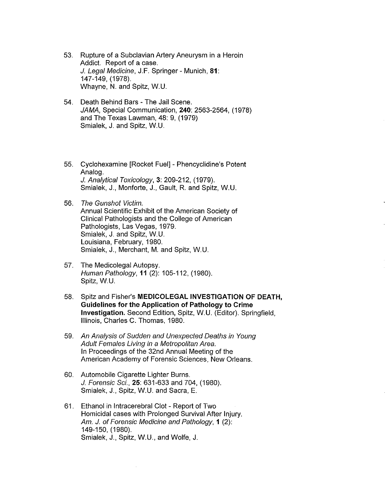- 53. Rupture of a Subclavian Artery Aneurysm in a Heroin Addict. Report of a case. J. Legal Medicine, J.F. Springer - Munich, **81:**  147-149, (1978). Whayne, N. and Spitz, W.U.
- 54. Death Behind Bars The Jail Scene. JAMA, Special Communication, **240:** 2563-2564, (1978) and The Texas Lawman, 48: 9, (1979) Smialek, J. and Spitz, W.U.
- 55. Cyclohexamine [Rocket Fuel] Phencyclidine's Potent Analog. *J.* Analytical Toxicology, **3:** 209-212, (1979). Smialek, J., Monforte, J., Gault, R. and Spitz, W.U.
- 56. The Gunshot Victim. Annual Scientific Exhibit of the American Society of Clinical Pathologists and the College of American Pathologists, Las Vegas, 1979. Smialek, J. and Spitz, W.U. Louisiana, February, 1980. Smialek, J., Merchant, M. and Spitz, W.U.
- 57. The Medicolegal Autopsy. Human Pathology, 11 (2): 105-112, (1980). Spitz, W.U.
- 58. Spitz and Fisher's **MEDICOLEGAL INVESTIGATION OF DEATH, Guidelines for the Application of Pathology to Crime Investigation.** Second Edition, Spitz, W.U. (Editor). Springfield, Illinois, Charles C. Thomas, 1980.
- 59. An Analysis of Sudden and Unexpected Deaths in Young Adult Females Living in a Metropolitan Area. In Proceedings of the 32nd Annual Meeting of the American Academy of Forensic Sciences, New Orleans.
- 60. Automobile Cigarette Lighter Burns. J. Forensic Sci., **25:** 631-633 and 704, (1980). Smialek, J., Spitz, W.U. and Sacra, E.
- 61. Ethanol in lntracerebral Clot Report of Two Homicidal cases with Prolonged Survival After Injury. Am. J. of Forensic Medicine and Pathology, **1** (2): 149-150, (1980). Smialek, J., Spitz, W.U., and Wolfe, J.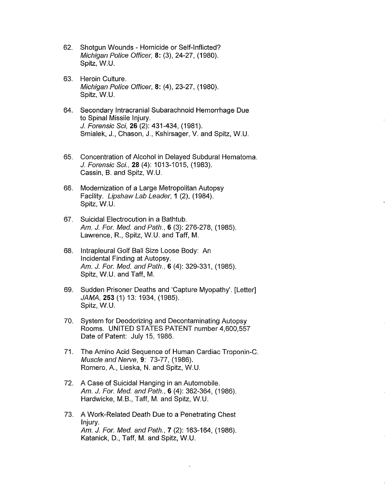- 62. Shotgun Wounds Homicide or Self-Inflicted? Michigan Police Officer, 8: (3), 24-27, (1980). Spitz, W.U.
- 63. Heroin Culture. Michigan Police Officer, **8:** (4), 23-27, (1980). Spitz, W.U.
- 64. Secondary lntracranial Subarachnoid Hemorrhage Due to Spinal Missile Injury. J. Forensic Sci, **26** (2): 431-434, (1981). Smialek, J., Chason, J., Kshirsager, V. and Spitz, W.U.
- 65. Concentration of Alcohol in Delayed Subdural Hematoma. *J.* Forensic Sci., 28 (4): 1013-1015, (1983). Cassin, B. and Spitz, W.U.
- 66. Modernization of a Large Metropolitan Autopsy Facility. Upshaw Lab Leader, **1** (2), (1984). Spitz, W.U.
- 67. Suicidal Electrocution in a Bathtub. Am. *J.* For. Med. and Path., 6 (3): 276-278, (1985). Lawrence, R., Spitz, W.U. and Taff, M.
- 68. lntrapleural Golf Ball Size Loose Body: An Incidental Finding at Autopsy. Am. *J.* For. Med. and Path., 6 (4): 329-331, (1985). Spitz, W.U. and Taff, M.
- 69. Sudden Prisoner Deaths and 'Capture Myopathy'. [Letter] JAMA, **253** (1) 13: 1934, (1985). Spitz, W.U.
- 70. System for Deodorizing and Decontaminating Autopsy Rooms. UNITED STATES PATENT number 4,600,557 Date of Patent: July 15, 1986.
- 71. The Amino Acid Sequence of Human Cardiac Troponin-C. Muscle and Nerve, 9: 73-77, (1986). Romero, A., Lieska, N. and Spitz, W.U.
- 72. A Case of Suicidal Hanging in an Automobile. Am. J. For. Med. and Path., **6** (4): 362-364, (1986). Hardwicke, M.B., Taff, M. and Spitz, W.U.
- 73. A Work-Related Death Due to a Penetrating Chest Injury. Am. J. For. Med. and Path., **7** (2): 163-164, (1986). Katanick, D., Taff, M. and Spitz, W.U.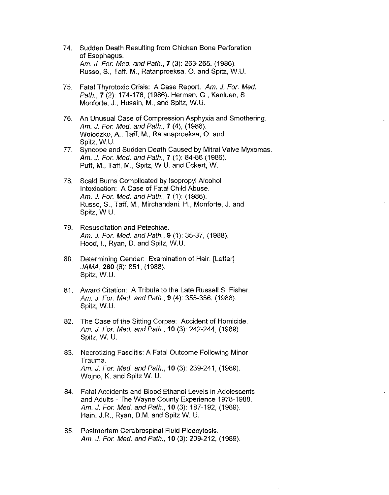- 74. Sudden Death Resulting from Chicken Bone Perforation of Esophagus. Am. *J.* For. Med. and Path., 7 (3): 263-265, (1986). Russo, S., Taff, M., Ratanproeksa, 0. and Spitz, W.U.
- 75. Fatal Thyrotoxic Crisis: A Case Report. Am. J. For. Med. Path., **7** (2): 174-176, (1986). Herman, G., Kanluen, S., Monforte, J., Husain, M., and Spitz, W.U.
- 76. An Unusual Case of Compression Asphyxia and Smothering. Am. J. For. Med. and Path., **7** (4), (1986). Wolodzko, A., Taff, M., Ratanaproeksa, 0. and Spitz, W.U.
- 77. Syncope and Sudden Death Caused by Mitral Valve Myxomas. Am. J. For. Med. and Path., 7 (1): 84-86 (1986). Puff, M., Taff, M., Spitz, W.U. and Eckert, W.
- 78. Scald Burns Complicated by lsopropyl Alcohol Intoxication: A Case of Fatal Child Abuse. Am. J. For. Med. and Path., **7** (1): (1986). Russo, S., Taff, M., Mirchandani, H., Monforte, J. and Spitz, W.U.
- 79. Resuscitation and Petechiae. Am. J. For. Med. and Path., 9 (1): 35-37, (1988). Hood, I., Ryan, D. and Spitz, W.U.
- 80. Determining Gender: Examination of Hair. [Letter] JAMA, **260** (6): 851, (1988). Spitz, W.U.
- 81. Award Citation: A Tribute to the Late Russell S. Fisher. Am. J. For. Med. and Path., 9 (4): 355-356, (1988). Spitz, W.U.
- 82. The Case of the Sitting Corpse: Accident of Homicide. Am. J. For. Med. and Path., **10** (3): 242-244, (1989). Spitz, W. U.
- 83. Necrotizing Fasciitis: A Fatal Outcome Following Minor Trauma. Am. J. For. Med. and Path., **10** (3): 239-241, (1989). Wojno, K. and Spitz W. U.
- 84. Fatal Accidents and Blood Ethanol Levels in Adolescents and Adults - The Wayne County Experience 1978-1988. Am. J. For. Med. and Path., **10** (3): 187-192, (1989). Hain, J.R., Ryan, D.M. and Spitz W. U.
- 85. Postmortem Cerebrospinal Fluid Pleocytosis. Am. J. For. Med. and Path., **10** (3): 209-212, (1989).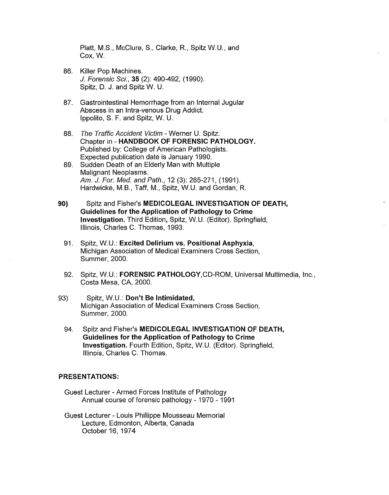Platt, M.S., McClure, S., Clarke, R., Spitz W.U., and Cox, W.

- 86. Killer Pop Machines. *J.* Forensic Sci., **35** (2): 490-492, (1990). Spitz, D. J. and Spitz W. U.
- 87. Gastrointestinal Hemorrhage from an Internal Jugular Abscess in an Intra-venous Drug Addict. Ippolito, S. F. and Spitz, W. U.
- 88. The Traffic Accident Victim Werner U. Spitz. Chapter in - **HANDBOOK OF FORENSIC PATHOLOGY.**  Published by: College of American Pathologists. Expected publication date is January 1990.
- 89. Sudden Death of an Elderly Man with Multiple Malignant Neoplasms. Am. *J.* For. Med. and Path., 12 (3): 265-271, (1991). Hardwicke, M.B., Taff, M., Spitz, W.U. and Gordan, R.
- **90)** Spitz and Fisher's **MEDICOLEGAL INVESTIGATION OF DEATH, Guidelines for the Application of Pathology to Crime Investigation.** Third Edition, Spitz, W.U. (Editor). Springfield, Illinois, Charles C. Thomas, 1993.
	- 91. Spitz, W.U.: **Excited Delirium vs. Positional Asphyxia,**  Michigan Association of Medical Examiners Cross Section, Summer, 2000.
	- 92. Spitz, W.U.: **FORENSIC PATHOLOGY,CD-ROM,** Universal Multimedia, Inc., Costa Mesa, CA, 2000.
- 93) Spitz, W.U.: **Don't Be Intimidated,**  Michigan Association of Medical Examiners Cross Section, Summer, 2000.
	- 94. Spitz and Fisher's **MEDICOLEGAL INVESTIGATION OF DEATH, Guidelines for the Application of Pathology to Crime Investigation.** Fourth Edition, Spitz, W.U. (Editor). Springfield, Illinois, Charles C. Thomas.

#### **PRESENTATIONS:**

- Guest Lecturer Armed Forces Institute of Pathology Annual course of forensic pathology - 1970 - 1991
- Guest Lecturer Louis Phillippe Mousseau Memorial Lecture, Edmonton, Alberta, Canada October 16, 1974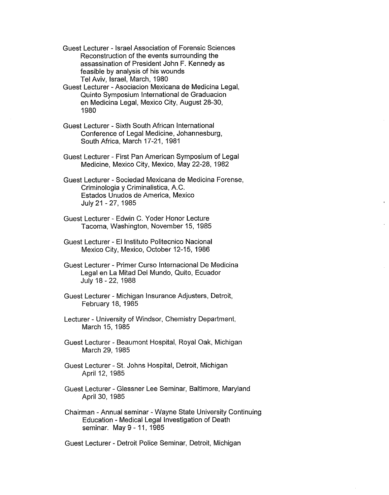Guest Lecturer - Israel Association of Forensic Sciences Reconstruction of the events surrounding the assassination of President John F. Kennedy as feasible by analysis of his wounds Tel Aviv, Israel, March, 1980

- Guest Lecturer Asociacion Mexicana de Medicina Legal, Quinto Symposium International de Graduacion en Medicina Legal, Mexico City, August 28-30, 1980
- Guest Lecturer Sixth South African International Conference of Legal Medicine, Johannesburg, South Africa, March 17-21, 1981
- Guest Lecturer First Pan American Symposium of Legal Medicine, Mexico City, Mexico, May 22-28, 1982

Guest Lecturer - Sociedad Mexicana de Medicina Forense, Criminologia y Criminalistica, A.C. Estados Unudos de America, Mexico July 21 - 27, 1985

- Guest Lecturer Edwin C. Yoder Honor Lecture Tacoma, Washington, November 15, 1985
- Guest Lecturer El Instituto Politecnico Nacional Mexico City, Mexico, October 12-15, 1986
- Guest Lecturer Primer Curso Internacional De Medicina Legal en La Mitad Del Mundo, Quito, Ecuador July 18- 22, 1988
- Guest Lecturer Michigan Insurance Adjusters, Detroit, February 18, 1985
- Lecturer University of Windsor, Chemistry Department, March 15, 1985
- Guest Lecturer Beaumont Hospital, Royal Oak, Michigan March 29, 1985
- Guest Lecturer St. Johns Hospital, Detroit, Michigan April 12, 1985
- Guest Lecturer Glessner Lee Seminar, Baltimore, Maryland April 30, 1985
- Chairman Annual seminar Wayne State University Continuing Education - Medical Legal Investigation of Death seminar. May 9 - 11, 1985

Guest Lecturer - Detroit Police Seminar, Detroit, Michigan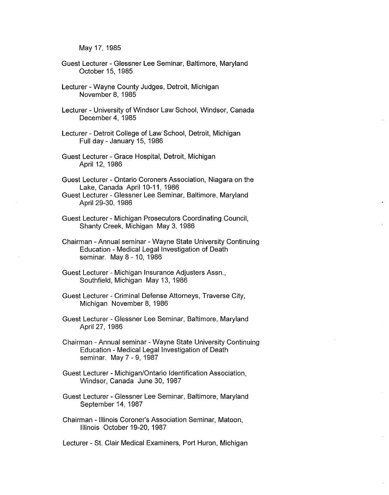May 17, 1985

- Guest Lecturer Glessner Lee Seminar, Baltimore, Maryland October 15, 1985
- Lecturer Wayne County Judges, Detroit, Michigan November 8, 1985
- Lecturer University of Windsor Law School, Windsor, Canada December 4, 1985
- Lecturer Detroit College of Law School, Detroit, Michigan Full day - January 15, 1986
- Guest Lecturer Grace Hospital, Detroit, Michigan April 12, 1986
- Guest Lecturer Ontario Coroners Association, Niagara on the Lake, Canada April 10-11, 1986
- Guest Lecturer Glessner Lee Seminar, Baltimore, Maryland April 29-30, 1986
- Guest Lecturer Michigan Prosecutors Coordinating Council, Shanty Creek, Michigan May 3, 1986
- Chairman Annual seminar Wayne State University Continuing Education - Medical Legal Investigation of Death seminar. May 8 - 10, 1986
- Guest Lecturer Michigan Insurance Adjusters Assn., Southfield, Michigan May 13, 1986
- Guest Lecturer Criminal Defense Attorneys, Traverse City, Michigan November 8, 1986
- Guest Lecturer Glessner Lee Seminar, Baltimore, Maryland April 27, 1986
- Chairman Annual seminar Wayne State University Continuing Education - Medical Legal Investigation of Death seminar. May 7 - 9, 1987
- Guest Lecturer Michigan/Ontario Identification Association, Windsor, Canada June 30, 1987
- Guest Lecturer Glessner Lee Seminar, Baltimore, Maryland September 14, 1987
- Chairman Illinois Coroner's Association Seminar, Maloon, Illinois October 19-20, 1987

Lecturer - St. Clair Medical Examiners, Port Huron, Michigan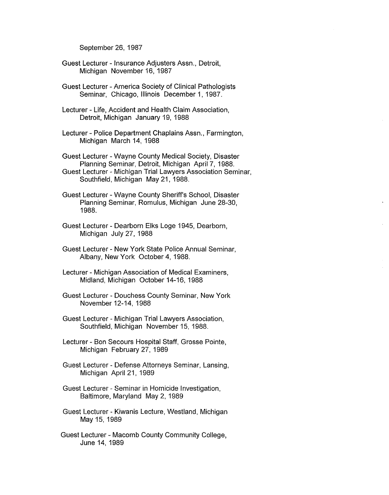September 26, 1987

- Guest Lecturer Insurance Adjusters Assn., Detroit, Michigan November 16, 1987
- Guest Lecturer America Society of Clinical Pathologists Seminar, Chicago, Illinois December 1, 1987.
- Lecturer Life, Accident and Health Claim Association, Detroit, Michigan January 19, 1988
- Lecturer Police Department Chaplains Assn., Farmington, Michigan March 14, 1988
- Guest Lecturer Wayne County Medical Society, Disaster Planning Seminar, Detroit, Michigan April 7, 1988. Guest Lecturer - Michigan Trial Lawyers Association Seminar,
- Southfield, Michigan May 21, 1988.
- Guest Lecturer Wayne County Sheriff's School, Disaster Planning Seminar, Romulus, Michigan June 28-30, 1988.
- Guest Lecturer Dearborn Elks Loge 1945, Dearborn, Michigan July 27, 1988
- Guest Lecturer New York State Police Annual Seminar, Albany, New York October 4, 1988.
- Lecturer Michigan Association of Medical Examiners, Midland, Michigan October 14-16, 1988
- Guest Lecturer Douchess County Seminar, New York November 12-14, 1988
- Guest Lecturer Michigan Trial Lawyers Association, Southfield, Michigan November 15, 1988.
- Lecturer Bon Secours Hospital Staff, Grosse Pointe, Michigan February 27, 1989
- Guest Lecturer Defense Attorneys Seminar, Lansing, Michigan April 21, 1989
- Guest Lecturer Seminar in Homicide Investigation, Baltimore, Maryland May 2, 1989
- Guest Lecturer Kiwanis Lecture, Westland, Michigan May 15, 1989
- Guest Lecturer Macomb County Community College, June 14, 1989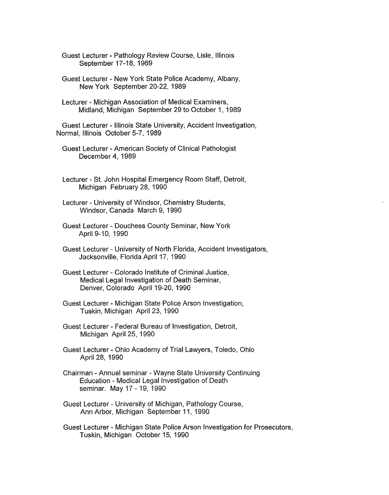Guest Lecturer - Pathology Review Course, Lisle, Illinois September 17-18, 1989

Guest Lecturer - New York State Police Academy, Albany, New York September 20-22, 1989

Lecturer - Michigan Association of Medical Examiners, Midland, Michigan September 29 to October 1, 1989

Guest Lecturer - Illinois State University, Accident Investigation, Normal, Illinois October 5-7, 1989

Guest Lecturer - American Society of Clinical Pathologist December 4, 1989

Lecturer - St. John Hospital Emergency Room Staff, Detroit, Michigan February 28, 1990

Lecturer - University of Windsor, Chemistry Students, Windsor, Canada March 9, 1990

Guest Lecturer - Douchess County Seminar, New York April 9-10, 1990

Guest Lecturer - University of North Florida, Accident Investigators, Jacksonville, Florida April 17, 1990

Guest Lecturer - Colorado Institute of Criminal Justice, Medical Legal Investigation of Death Seminar, Denver, Colorado April 19-20, 1990

Guest Lecturer - Michigan State Police Arson Investigation, Tuskin, Michigan April 23, 1990

Guest Lecturer - Federal Bureau of Investigation, Detroit, Michigan April 25, 1990

Guest Lecturer - Ohio Academy of Trial Lawyers, Toledo, Ohio April 28, 1990

Chairman - Annual seminar - Wayne State University Continuing Education - Medical Legal Investigation of Death seminar. May 17 -19, 1990

Guest Lecturer - University of Michigan, Pathology Course, Ann Arbor, Michigan September 11, 1990

Guest Lecturer - Michigan State Police Arson Investigation for Prosecutors, Tuskin, Michigan October 15, 1990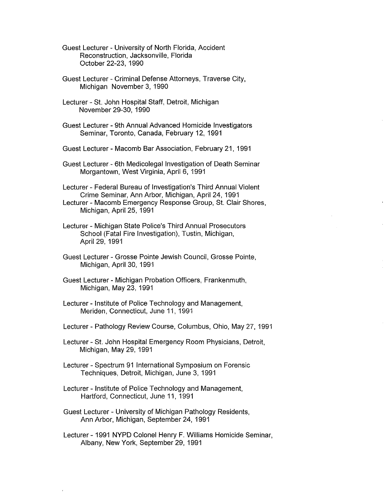Guest Lecturer - University of North Florida, Accident Reconstruction, Jacksonville, Florida October 22-23, 1990

- Guest Lecturer Criminal Defense Attorneys, Traverse City, Michigan November 3, 1990
- Lecturer St. John Hospital Staff, Detroit, Michigan November 29-30, 1990
- Guest Lecturer 9th Annual Advanced Homicide Investigators Seminar, Toronto, Canada, February 12, 1991
- Guest Lecturer Macomb Bar Association, February 21, 1991
- Guest Lecturer 6th Medicolegal Investigation of Death Seminar Morgantown, West Virginia, April 6, 1991

Lecturer - Federal Bureau of Investigation's Third Annual Violent Crime Seminar, Ann Arbor, Michigan, April 24, 1991 Lecturer - Macomb Emergency Response Group, St. Clair Shores, Michigan, April 25, 1991

- Lecturer Michigan State Police's Third Annual Prosecutors School (Fatal Fire Investigation), Tustin, Michigan, April 29, 1991
- Guest Lecturer Grosse Pointe Jewish Council, Grosse Pointe, Michigan, April 30, 1991
- Guest Lecturer Michigan Probation Officers, Frankenmuth, Michigan, May 23, 1991
- Lecturer Institute of Police Technology and Management, Meriden, Connecticut, June 11, 1991
- Lecturer Pathology Review Course, Columbus, Ohio, May 27, 1991

Lecturer - St. John Hospital Emergency Room Physicians, Detroit, Michigan, May 29, 1991

- Lecturer Spectrum 91 International Symposium on Forensic Techniques, Detroit, Michigan, June 3, 1991
- Lecturer Institute of Police Technology and Management, Hartford, Connecticut, June 11, 1991
- Guest Lecturer University of Michigan Pathology Residents, Ann Arbor, Michigan, September 24, 1991
- Lecturer 1991 NYPD Colonel Henry F. Williams Homicide Seminar, Albany, New York, September 29, 1991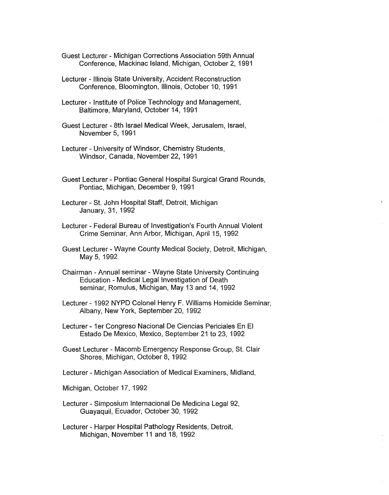- Guest Lecturer Michigan Corrections Association 59th Annual Conference, Mackinac Island, Michigan, October 2, 1991
- Lecturer Illinois State University, Accident Reconstruction Conference, Bloomington, Illinois, October 10, 1991
- Lecturer Institute of Police Technology and Management, Baltimore, Maryland, October 14, 1991
- Guest Lecturer 8th Israel Medical Week, Jerusalem, Israel, November 5, 1991
- Lecturer University of Windsor, Chemistry Students, Windsor, Canada, November 22, 1991
- Guest Lecturer Pontiac General Hospital Surgical Grand Rounds, Pontiac, Michigan, December 9, 1991
- Lecturer St. John Hospital Staff, Detroit, Michigan January, 31, 1992
- Lecturer Federal Bureau of Investigation's Fourth Annual Violent Crime Seminar, Ann Arbor, Michigan, April 15, 1992
- Guest Lecturer Wayne County Medical Society, Detroit, Michigan, May 5, 1992
- Chairman Annual seminar Wayne State University Continuing Education - Medical Legal Investigation of Death seminar, Romulus, Michigan, May 13 and 14, 1992
- Lecturer 1992 NYPD Colonel Henry F. Williams Homicide Seminar, Albany, New York, September 20, 1992
- Lecturer 1 er Congreso Nacional De Ciencias Periciales En El Estado De Mexico, Mexico, September 21 to 23, 1992
- Guest Lecturer Macomb Emergency Response Group, St. Clair Shores, Michigan, October 8, 1992
- Lecturer Michigan Association of Medical Examiners, Midland,
- Michigan, October 17, 1992
- Lecturer Simposium Internacional De Medicina Legal 92, Guayaquil, Ecuador, October 30, 1992
- Lecturer Harper Hospital Pathology Residents, Detroit, Michigan, November 11 and 18, 1992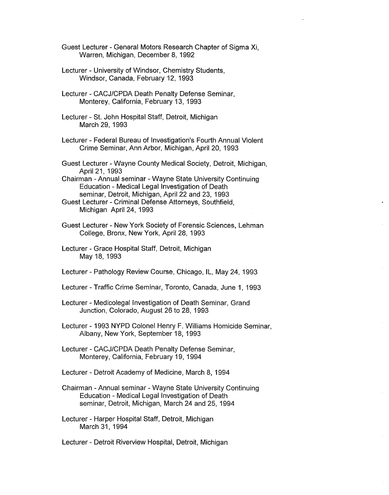Guest Lecturer - General Motors Research Chapter of Sigma Xi, Warren, Michigan, December 8, 1992

- Lecturer University of Windsor, Chemistry Students, Windsor, Canada, February 12, 1993
- Lecturer CACJ/CPDA Death Penalty Defense Seminar, Monterey, California, February 13, 1993
- Lecturer St. John Hospital Staff, Detroit, Michigan March 29, 1993
- Lecturer Federal Bureau of Investigation's Fourth Annual Violent Crime Seminar, Ann Arbor, Michigan, April 20, 1993
- Guest Lecturer Wayne County Medical Society, Detroit, Michigan, April 21, 1993

Chairman - Annual seminar - Wayne State University Continuing Education - Medical Legal Investigation of Death seminar, Detroit, Michigan, April 22 and 23, 1993

- Guest Lecturer Criminal Defense Attorneys, Southfield, Michigan April 24, 1993
- Guest Lecturer New York Society of Forensic Sciences, Lehman College, Bronx, New York, April 28, 1993
- Lecturer Grace Hospital Staff, Detroit, Michigan May 18, 1993
- Lecturer Pathology Review Course, Chicago, IL, May 24, 1993
- Lecturer Traffic Crime Seminar, Toronto, Canada, June 1, 1993
- Lecturer Medicolegal Investigation of Death Seminar, Grand Junction, Colorado, August 26 to 28, 1993
- Lecturer 1993 NYPD Colonel Henry F. Williams Homicide Seminar, Albany, New York, September 18, 1993
- Lecturer CACJ/CPDA Death Penalty Defense Seminar, Monterey, California, February 19, 1994
- Lecturer Detroit Academy of Medicine, March 8, 1994
- Chairman Annual seminar Wayne State University Continuing Education - Medical Legal Investigation of Death seminar, Detroit, Michigan, March 24 and 25, 1994
- Lecturer Harper Hospital Staff, Detroit, Michigan March 31, 1994
- Lecturer Detroit Riverview Hospital, Detroit, Michigan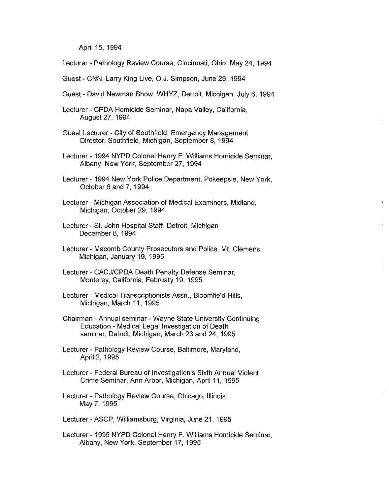April 15, 1994

Lecturer - Pathology Review Course, Cincinnati, Ohio, May 24, 1994

Guest - CNN, Larry King Live, O.J. Simpson, June 29, 1994

Guest - David Newman Show, WHYZ, Detroit, Michigan July 6, 1994

Lecturer - CPDA Homicide Seminar, Napa Valley, California, August 27, 1994

Guest Lecturer - City of Southfield, Emergency Management Director, Southfield, Michigan, September 8, 1994

Lecturer - 1994 NYPD Colonel Henry F. Williams Homicide Seminar, Albany, New York, September 27, 1994

Lecturer - 1994 New York Police Department, Pokeepsie, New York, October 6 and 7, 1994

Lecturer - Michigan Association of Medical Examiners, Midland, Michigan, October 29, 1994

- Lecturer St. John Hospital Staff, Detroit, Michigan December 8, 1994
- Lecturer Macomb County Prosecutors and Police, Mt. Clemens, Michigan, January 19, 1995
- Lecturer CACJ/CPDA Death Penalty Defense Seminar, Monterey, California, February 19, 1995
- Lecturer Medical Transcriptionists Assn., Bloomfield Hills, Michigan, March 11, 1995

Chairman - Annual seminar - Wayne State University Continuing Education - Medical Legal Investigation of Death seminar, Detroit, Michigan, March 23 and 24, 1995

Lecturer - Pathology Review Course, Baltimore, Maryland, April 2, 1995

- Lecturer Federal Bureau of Investigation's Sixth Annual Violent Crime Seminar, Ann Arbor, Michigan, April 11, 1995
- Lecturer Pathology Review Course, Chicago, Illinois May 7, 1995

Lecturer-ASCP, Williamsburg, Virginia, June 21, 1995

Lecturer - 1995 NYPD Colonel Henry F. Williams Homicide Seminar, Albany, New York, September 17, 1995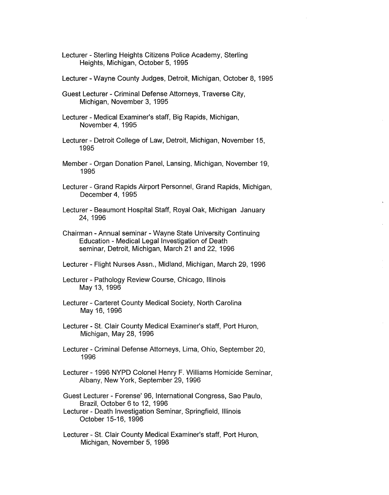- Lecturer Sterling Heights Citizens Police Academy, Sterling Heights, Michigan, October 5, 1995
- Lecturer Wayne County Judges, Detroit, Michigan, October 8, 1995
- Guest Lecturer Criminal Defense Attorneys, Traverse City, Michigan, November 3, 1995
- Lecturer Medical Examiner's staff, Big Rapids, Michigan, November 4, 1995
- Lecturer Detroit College of Law, Detroit, Michigan, November 15, 1995
- Member Organ Donation Panel, Lansing, Michigan, November 19, 1995
- Lecturer Grand Rapids Airport Personnel, Grand Rapids, Michigan, December 4, 1995
- Lecturer Beaumont Hospital Staff, Royal Oak, Michigan January 24, 1996
- Chairman Annual seminar Wayne State University Continuing Education - Medical Legal Investigation of Death seminar, Detroit, Michigan, March 21 and 22, 1996
- Lecturer Flight Nurses Assn., Midland, Michigan, March 29, 1996
- Lecturer Pathology Review Course, Chicago, Illinois May 13, 1996
- Lecturer Carteret County Medical Society, North Carolina May 16, 1996
- Lecturer St. Clair County Medical Examiner's staff, Port Huron, Michigan, May 28, 1996
- Lecturer Criminal Defense Attorneys, Lima, Ohio, September 20, 1996
- Lecturer 1996 NYPD Colonel Henry F. Williams Homicide Seminar, Albany, New York, September 29, 1996

Guest Lecturer - Forense' 96, International Congress, Sao Paulo, Brazil, October 6 to 12, 1996

- Lecturer Death Investigation Seminar, Springfield, Illinois October 15-16, 1996
- Lecturer St. Clair County Medical Examiner's staff, Port Huron, Michigan, November 5, 1996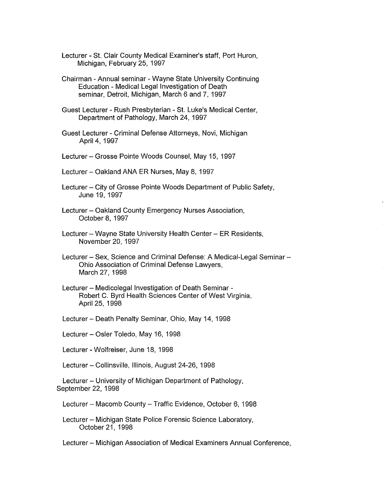Lecturer - St. Clair County Medical Examiner's staff, Port Huron, Michigan, February 25, 1997

Chairman - Annual seminar - Wayne State University Continuing Education - Medical Legal Investigation of Death seminar, Detroit, Michigan, March 6 and 7, 1997

Guest Lecturer - Rush Presbyterian - St. Luke's Medical Center, Department of Pathology, March 24, 1997

Guest Lecturer - Criminal Defense Attorneys, Novi, Michigan April 4, 1997

Lecturer - Grosse Pointe Woods Counsel, May 15, 1997

Lecturer - Oakland ANA ER Nurses, May 8, 1997

Lecturer - City of Grosse Pointe Woods Department of Public Safety, June 19, 1997

Lecturer - Oakland County Emergency Nurses Association, October 8, 1997

Lecturer - Wayne State University Health Center - ER Residents, November 20, 1997

Lecturer - Sex, Science and Criminal Defense: A Medical-Legal Seminar -Ohio Association of Criminal Defense Lawyers, March 27, 1998

Lecturer - Medicolegal Investigation of Death Seminar - Robert C. Byrd Health Sciences Center of West Virginia, April 25, 1998

Lecturer- Death Penalty Seminar, Ohio, May 14, 1998

Lecturer- Osler Toledo, May 16, 1998

Lecturer - Wolfreiser, June 18, 1998

Lecturer - Collinsville, Illinois, August 24-26, 1998

Lecturer - University of Michigan Department of Pathology, September 22, 1998

Lecturer - Macomb County - Traffic Evidence, October 6, 1998

Lecturer - Michigan State Police Forensic Science Laboratory, October 21, 1998

Lecturer - Michigan Association of Medical Examiners Annual Conference,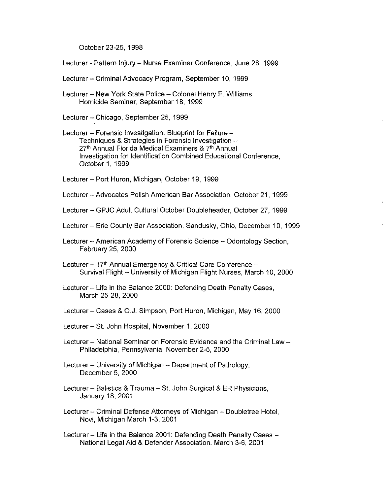October 23-25, 1998

- Lecturer Pattern Injury Nurse Examiner Conference, June 28, 1999
- Lecturer Criminal Advocacy Program, September 10, 1999
- Lecturer New York State Police Colonel Henry F. Williams Homicide Seminar, September 18, 1999
- Lecturer- Chicago, September 25, 1999
- Lecturer Forensic Investigation: Blueprint for Failure -Techniques & Strategies in Forensic Investigation -27<sup>th</sup> Annual Florida Medical Examiners & 7<sup>th</sup> Annual Investigation for Identification Combined Educational Conference, October 1, 1999
- Lecturer Port Huron, Michigan, October 19, 1999
- Lecturer Advocates Polish American Bar Association, October 21, 1999
- Lecturer- GPJC Adult Cultural October Doubleheader, October 27, 1999
- Lecturer Erie County Bar Association, Sandusky, Ohio, December 10, 1999
- Lecturer American Academy of Forensic Science Odontology Section, February 25, 2000
- Lecturer 17<sup>th</sup> Annual Emergency & Critical Care Conference -Survival Flight - University of Michigan Flight Nurses, March 10, 2000
- Lecturer Life in the Balance 2000: Defending Death Penalty Cases, March 25-28, 2000
- Lecturer Cases & O.J. Simpson, Port Huron, Michigan, May 16, 2000
- Lecturer St. John Hospital, November 1, 2000
- Lecturer National Seminar on Forensic Evidence and the Criminal Law Philadelphia, Pennsylvania, November 2-5, 2000
- Lecturer University of Michigan Department of Pathology, December 5, 2000
- Lecturer Balistics & Trauma St. John Surgical & ER Physicians, January 18, 2001
- Lecturer Criminal Defense Attorneys of Michigan Doubletree Hotel, Novi, Michigan March 1-3, 2001
- Lecturer Life in the Balance 2001: Defending Death Penalty Cases -National Legal Aid & Defender Association, March 3-6, 2001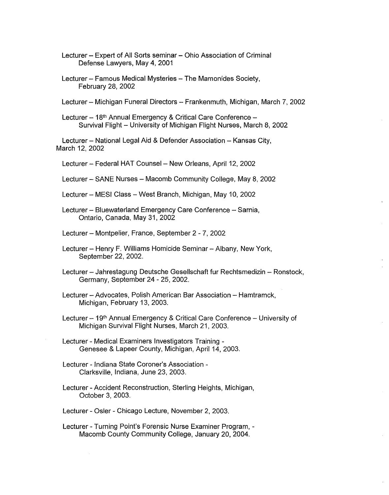Lecturer - Expert of All Sorts seminar - Ohio Association of Criminal Defense Lawyers, May 4, 2001

Lecturer - Famous Medical Mysteries - The Mamonides Society, February 28, 2002

Lecturer - Michigan Funeral Directors - Frankenmuth, Michigan, March 7, 2002

Lecturer - 18<sup>th</sup> Annual Emergency & Critical Care Conference -Survival Flight - University of Michigan Flight Nurses, March 8, 2002

Lecturer - National Legal Aid & Defender Association - Kansas City, March 12, 2002

Lecturer - Federal HAT Counsel - New Orleans, April 12, 2002

Lecturer - SANE Nurses - Macomb Community College, May 8, 2002

Lecturer - MESI Class - West Branch, Michigan, May 10, 2002

Lecturer - Bluewaterland Emergency Care Conference - Sarnia, Ontario, Canada, May 31, 2002

Lecturer - Montpelier, France, September 2 - 7, 2002

Lecturer - Henry F. Williams Homicide Seminar - Albany, New York, September 22, 2002.

Lecturer - Jahrestagung Deutsche Gesellschaft fur Rechtsmedizin - Ronstock, Germany, September 24 - 25, 2002.

Lecturer - Advocates, Polish American Bar Association - Hamtramck, Michigan, February 13, 2003.

Lecturer – 19<sup>th</sup> Annual Emergency & Critical Care Conference – University of Michigan Survival Flight Nurses, March 21, 2003.

Lecturer - Medical Examiners Investigators Training - Genesee & Lapeer County, Michigan, April 14, 2003.

Lecturer - Indiana State Coroner's Association - Clarksville, Indiana, June 23, 2003.

Lecturer - Accident Reconstruction, Sterling Heights, Michigan, October 3, 2003.

Lecturer - Osler - Chicago Lecture, November 2, 2003.

Lecturer - Turning Point's Forensic Nurse Examiner Program, - Macomb County Community College, January 20, 2004.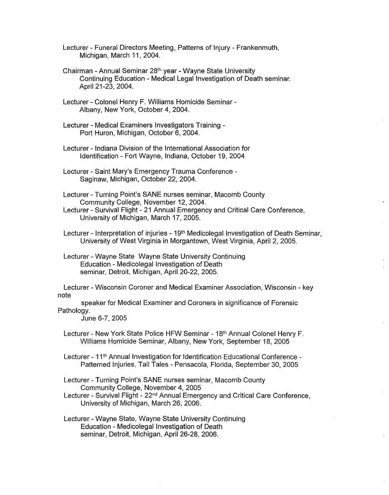Lecturer - Funeral Directors Meeting, Patterns of Injury - Frankenmuth, Michigan, March 11, 2004.

Chairman - Annual Seminar 28th year - Wayne State University Continuing Education - Medical Legal Investigation of Death seminar. April 21-23, 2004.

Lecturer - Colonel Henry F. Williams Homicide Seminar - Albany, New York, October 4, 2004.

Lecturer - Medical Examiners Investigators Training - Port Huron, Michigan, October 6, 2004.

Lecturer - Indiana Division of the International Association for Identification - Fort Wayne, Indiana, October 19, 2004

Lecturer - Saint Mary's Emergency Trauma Conference - Saginaw, Michigan, October 22, 2004.

Lecturer - Turning Point's SANE nurses seminar, Macomb County Community College, November 12, 2004.

Lecturer - Survival Flight - 21 Annual Emergency and Critical Care Conference, University of Michigan, March 17, 2005.

Lecturer - Interpretation of injuries - 19<sup>th</sup> Medicolegal Investigation of Death Seminar, University of West Virginia in Morgantown, West Virginia, April 2, 2005.

Lecturer - Wayne State Wayne State University Continuing Education - Medicolegal Investigation of Death seminar, Detroit, Michigan, April 20-22, 2005.

Lecturer - Wisconsin Coroner and Medical Examiner Association, Wisconsin - key note

speaker for Medical Examiner and Coroners in significance of Forensic Pathology.

June 6-7, 2005

Lecturer- New York State Police HFW Seminar - 18th Annual Colonel Henry F. Williams Homicide Seminar, Albany, New York, September 18, 2005

Lecturer - 11<sup>th</sup> Annual Investigation for Identification Educational Conference -Patterned Injuries, Tall Tales - Pensacola, Florida, September 30, 2005

Lecturer - Turning Point's SANE nurses seminar, Macomb County Community College, November 4, 2005

Lecturer - Survival Flight - 22<sup>nd</sup> Annual Emergency and Critical Care Conference, University of Michigan, March 26, 2006.

Lecturer - Wayne State, Wayne State University Continuing Education - Medicolegal Investigation of Death seminar, Detroit, Michigan, April 26-28, 2006.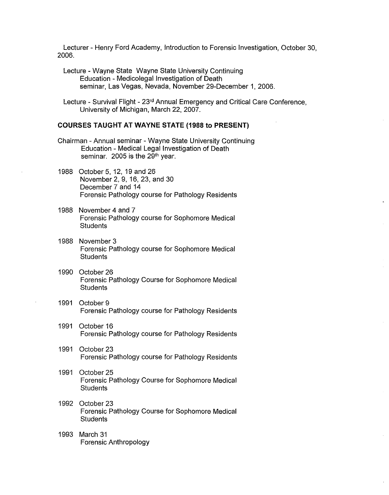Lecturer - Henry Ford Academy, Introduction to Forensic Investigation, October 30, 2006.

- Lecture Wayne State Wayne State University Continuing Education - Medicolegal Investigation of Death seminar, Las Vegas, Nevada, November 29-December 1, 2006.
- Lecture Survival Flight 23rd Annual Emergency and Critical Care Conference, University of Michigan, March 22, 2007.

#### **COURSES TAUGHT AT WAYNE STATE (1988 to PRESENT)**

- Chairman Annual seminar Wayne State University Continuing Education - Medical Legal Investigation of Death seminar. 2005 is the  $29<sup>th</sup>$  year.
- 1988 October 5, 12, 19 and 26 November 2, 9, 16, 23, and 30 December 7 and 14 Forensic Pathology course for Pathology Residents
- 1988 November 4 and 7 Forensic Pathology course for Sophomore Medical **Students**
- 1988 November 3 Forensic Pathology course for Sophomore Medical **Students**
- 1990 October 26 Forensic Pathology Course for Sophomore Medical **Students**
- 1991 October 9 Forensic Pathology course for Pathology Residents
- 1991 October 16 Forensic Pathology course for Pathology Residents
- 1991 October 23 Forensic Pathology course for Pathology Residents
- 1991 October 25 Forensic Pathology Course for Sophomore Medical **Students**
- 1992 October 23 Forensic Pathology Course for Sophomore Medical **Students**
- 1993 March 31 Forensic Anthropology